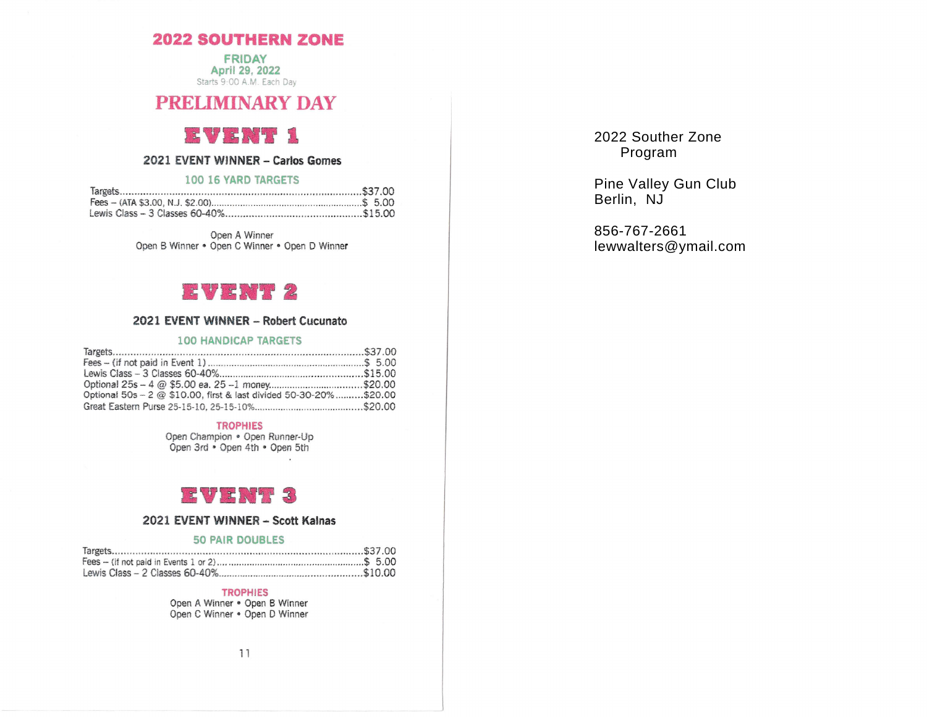## **2022 SOUTHERN ZONE**

**FRIDAY** April 29, 2022 Starts 9:00 A.M. Each Day

## **PRELIMINARY DAY**

#### T ST WEI  $3995$

## 2021 EVENT WINNER - Carlos Gomes

#### 100 16 YARD TARGETS

Open A Winner Open B Winner • Open C Winner • Open D Winner



#### 2021 EVENT WINNER - Robert Cucunato

#### **100 HANDICAP TARGETS**

| Optional 50s - 2 @ \$10.00, first & last divided 50-30-20%\$20.00 |  |
|-------------------------------------------------------------------|--|
|                                                                   |  |

#### **TROPHIES**

Open Champion . Open Runner-Up Open 3rd . Open 4th . Open 5th

 $\blacksquare$ 

#### $\frac{1}{2}$  $\mathbf{r}$

### 2021 EVENT WINNER - Scott Kalnas

#### **50 PAIR DOUBLES**

| $\frac{337}{100}$ |  |
|-------------------|--|
|                   |  |
|                   |  |

#### **TROPHIES**

Open A Winner . Open B Winner Open C Winner . Open D Winner 2022 Souther Zone Program

Pine Valley Gun Club Berlin, NJ

856-767-2661 lewwalters@ymail.com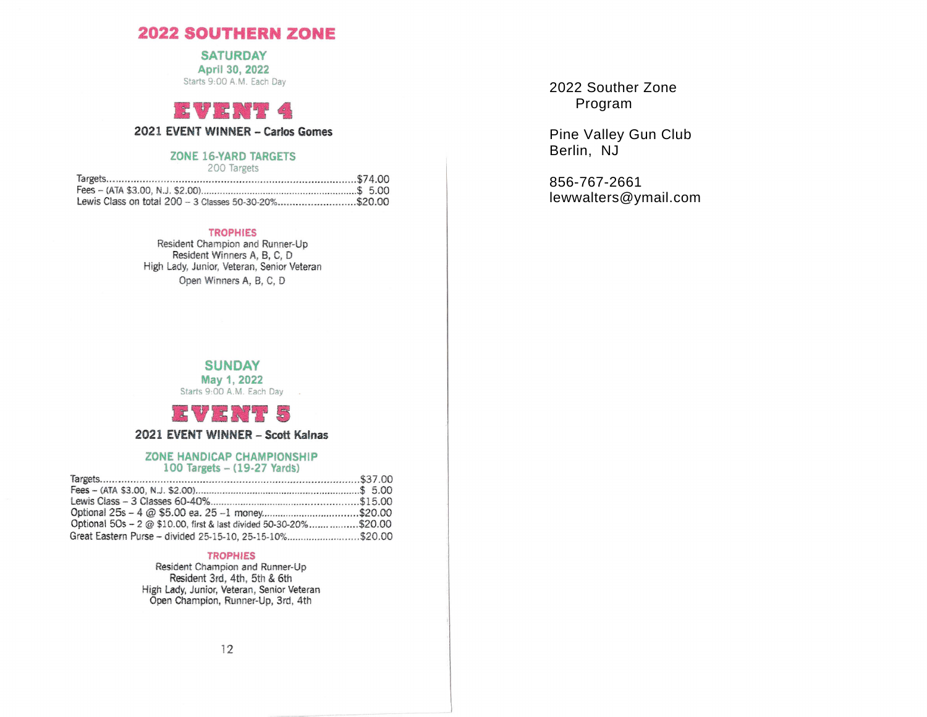## **2022 SOUTHERN ZONE**

**SATURDAY** 

April 30, 2022 Starts 9:00 A.M. Each Day

# $\mathbf{H}$  ,  $\mathbf{H}$  ,  $\mathbf{H}$  ,  $\mathbf{H}$  ,  $\mathbf{H}$  ,  $\mathbf{H}$

## 2021 EVENT WINNER - Carlos Gomes

#### **ZONE 16-YARD TARGETS**

200 Targets

| Lewis Class on total 200 - 3 Classes 50-30-20%\$20.00 |  |
|-------------------------------------------------------|--|

#### **TROPHIES**

Resident Champion and Runner-Up Resident Winners A, B, C, D High Lady, Junior, Veteran, Senior Veteran Open Winners A, B, C, D

2022 Souther Zone Program

Pine Valley Gun Club Berlin, NJ

856-767-2661 lewwalters@ymail.com

#### **SUNDAY** May 1, 2022 Starts 9:00 A.M. Each Day



2021 EVENT WINNER - Scott Kalnas

#### ZONE HANDICAP CHAMPIONSHIP 100 Targets - (19-27 Yards)

| Optional 5Os - 2 @ \$10.00, first & last divided 50-30-20%\$20.00 |  |
|-------------------------------------------------------------------|--|
| Great Eastern Purse - divided 25-15-10, 25-15-10%\$20.00          |  |

#### **TROPHIES**

Resident Champion and Runner-Up Resident 3rd, 4th, 5th & 6th High Lady, Junior, Veteran, Senior Veteran Open Champion, Runner-Up, 3rd, 4th